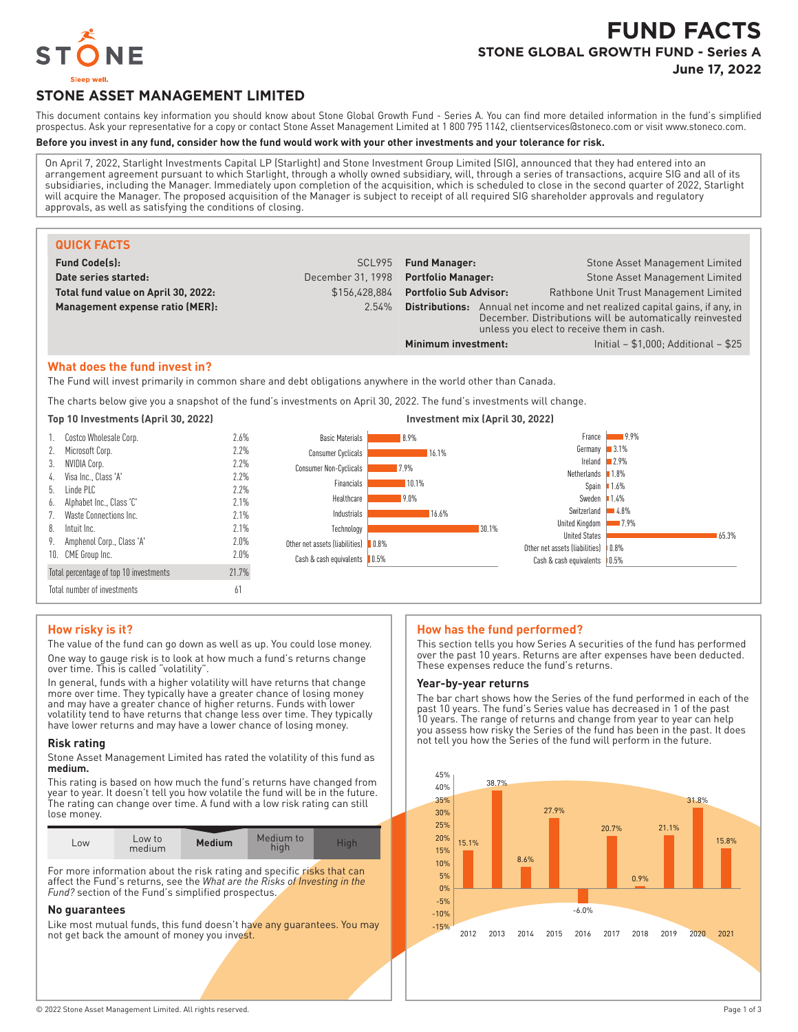

# **FUND FACTS STONE GLOBAL GROWTH FUND - Series A**

**June 17, 2022**

# **STONE ASSET MANAGEMENT LIMITED**

This document contains key information you should know about Stone Global Growth Fund - Series A. You can find more detailed information in the fund's simplified prospectus. Ask your representative for a copy or contact Stone Asset Management Limited at 1 800 795 1142, clientservices@stoneco.com or visit www.stoneco.com.

## **Before you invest in any fund, consider how the fund would work with your other investments and your tolerance for risk.**

On April 7, 2022, Starlight Investments Capital LP (Starlight) and Stone Investment Group Limited (SIG), announced that they had entered into an arrangement agreement pursuant to which Starlight, through a wholly owned subsidiary, will, through a series of transactions, acquire SIG and all of its subsidiaries, including the Manager. Immediately upon completion of the acquisition, which is scheduled to close in the second quarter of 2022, Starlight will acquire the Manager. The proposed acquisition of the Manager is subject to receipt of all required SIG shareholder approvals and regulatory approvals, as well as satisfying the conditions of closing.

| <b>QUICK FACTS</b>                  |                   |                                                                                                                                                                                         |                                         |
|-------------------------------------|-------------------|-----------------------------------------------------------------------------------------------------------------------------------------------------------------------------------------|-----------------------------------------|
| <b>Fund Code(s):</b>                | SCL995            | <b>Fund Manager:</b>                                                                                                                                                                    | Stone Asset Management Limited          |
| Date series started:                | December 31, 1998 | <b>Portfolio Manager:</b>                                                                                                                                                               | Stone Asset Management Limited          |
| Total fund value on April 30, 2022: | \$156.428.884     | <b>Portfolio Sub Advisor:</b>                                                                                                                                                           | Rathbone Unit Trust Management Limited  |
| Management expense ratio (MER):     | 2.54%             | Annual net income and net realized capital gains, if any, in<br>Distributions:<br>December. Distributions will be automatically reinvested<br>unless you elect to receive them in cash. |                                         |
|                                     |                   | Minimum investment:                                                                                                                                                                     | Initial $- $1,000$ ; Additional $- $25$ |

#### **What does the fund invest in?**

The Fund will invest primarily in common share and debt obligations anywhere in the world other than Canada.

The charts below give you a snapshot of the fund's investments on April 30, 2022. The fund's investments will change.



#### **How risky is it?**

The value of the fund can go down as well as up. You could lose money. One way to gauge risk is to look at how much a fund's returns change over time. This is called "volatility".

In general, funds with a higher volatility will have returns that change more over time. They typically have a greater chance of losing money and may have a greater chance of higher returns. Funds with lower volatility tend to have returns that change less over time. They typically have lower returns and may have a lower chance of losing money.

#### **Risk rating**

Stone Asset Management Limited has rated the volatility of this fund as **medium.**

This rating is based on how much the fund's returns have changed from year to year. It doesn't tell you how volatile the fund will be in the future. The rating can change over time. A fund with a low risk rating can still lose money.

| L <sub>OW</sub> | Low to<br>medium | <b>Medium</b> | Medium to<br>high | Hiah |
|-----------------|------------------|---------------|-------------------|------|
|                 |                  |               |                   |      |

For more information about the risk rating and specific risks that can affect the Fund's returns, see the *What are the Risks of Investing in the Fund?* section of the Fund's simplified prospectus.

#### **No guarantees**

Like most mutual funds, this fund doesn't have any guarantees. You may not get back the amount of money you invest.

#### **How has the fund performed?**

This section tells you how Series A securities of the fund has performed over the past 10 years. Returns are after expenses have been deducted. These expenses reduce the fund's returns.

#### **Year-by-year returns**

The bar chart shows how the Series of the fund performed in each of the past 10 years. The fund's Series value has decreased in 1 of the past 10 years. The range of returns and change from year to year can help you assess how risky the Series of the fund has been in the past. It does not tell you how the Series of the fund will perform in the future.

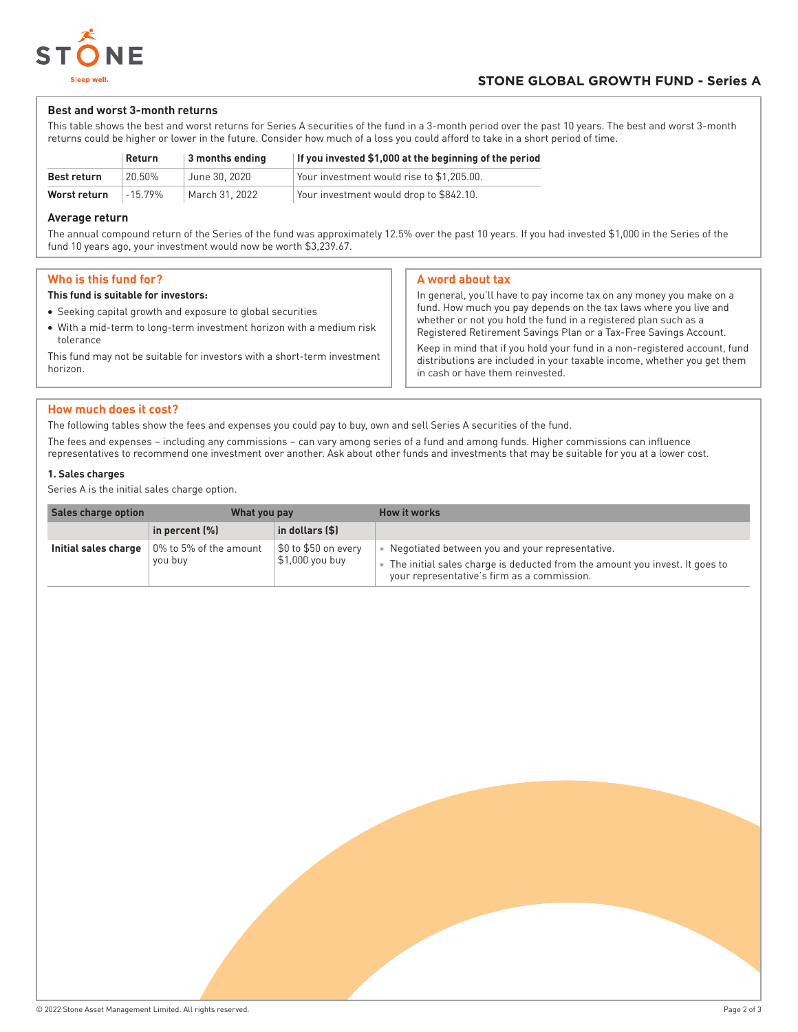

## **STONE GLOBAL GROWTH FUND - Series A**

#### **Best and worst 3-month returns**

This table shows the best and worst returns for Series A securities of the fund in a 3-month period over the past 10 years. The best and worst 3-month returns could be higher or lower in the future. Consider how much of a loss you could afford to take in a short period of time.

|                    | Return  | 3 months ending | If you invested \$1,000 at the beginning of the period |
|--------------------|---------|-----------------|--------------------------------------------------------|
| <b>Best return</b> | 20.50%  | June 30, 2020   | Your investment would rise to \$1.205.00.              |
| Worst return       | -15 79% | March 31, 2022  | Your investment would drop to \$842.10.                |

#### **Average return**

The annual compound return of the Series of the fund was approximately 12.5% over the past 10 years. If you had invested \$1,000 in the Series of the fund 10 years ago, your investment would now be worth \$3,239.67.

## **Who is this fund for?**

#### **This fund is suitable for investors:**

- Seeking capital growth and exposure to global securities
- With a mid-term to long-term investment horizon with a medium risk tolerance

This fund may not be suitable for investors with a short-term investment horizon.

## **A word about tax**

In general, you'll have to pay income tax on any money you make on a fund. How much you pay depends on the tax laws where you live and whether or not you hold the fund in a registered plan such as a Registered Retirement Savings Plan or a Tax-Free Savings Account. Keep in mind that if you hold your fund in a non-registered account, fund

distributions are included in your taxable income, whether you get them in cash or have them reinvested.

## **How much does it cost?**

The following tables show the fees and expenses you could pay to buy, own and sell Series A securities of the fund.

The fees and expenses – including any commissions – can vary among series of a fund and among funds. Higher commissions can influence representatives to recommend one investment over another. Ask about other funds and investments that may be suitable for you at a lower cost.

## **1. Sales charges**

Series A is the initial sales charge option.

| Sales charge option  | What you pay                           |                                         | <b>How it works</b>                                                                                                                                                           |
|----------------------|----------------------------------------|-----------------------------------------|-------------------------------------------------------------------------------------------------------------------------------------------------------------------------------|
|                      | in percent (%)                         | $\vert$ in dollars (\$)                 |                                                                                                                                                                               |
| Initial sales charge | $\,$ 0% to 5% of the amount<br>you buy | \$0 to \$50 on every<br>\$1,000 you buy | Negotiated between you and your representative.<br>The initial sales charge is deducted from the amount you invest. It goes to<br>your representative's firm as a commission. |